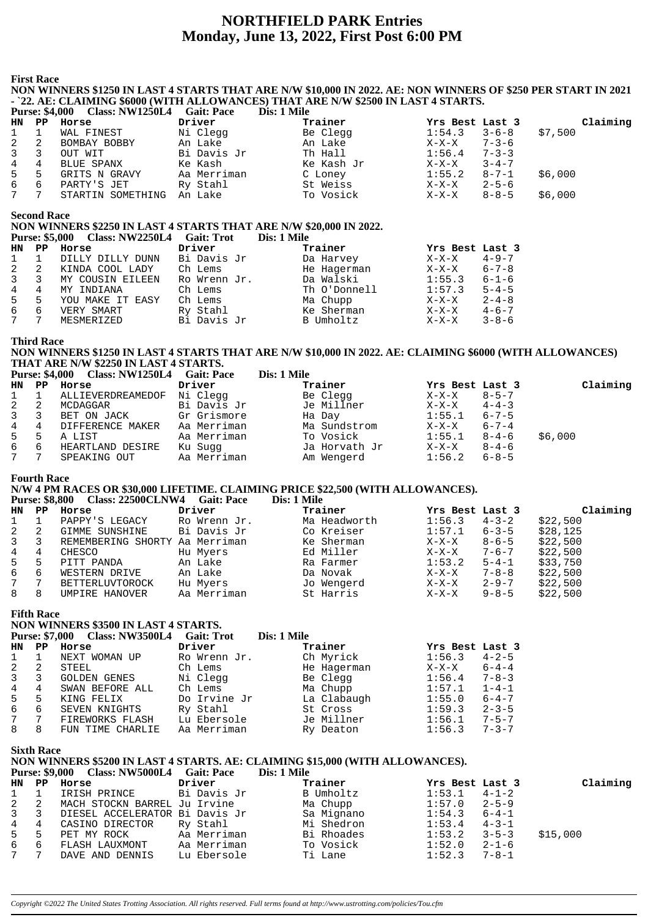# **NORTHFIELD PARK Entries Monday, June 13, 2022, First Post 6:00 PM**

**First Race**

**NON WINNERS \$1250 IN LAST 4 STARTS THAT ARE N/W \$10,000 IN 2022. AE: NON WINNERS OF \$250 PER START IN 2021 - `22. AE: CLAIMING \$6000 (WITH ALLOWANCES) THAT ARE N/W \$2500 IN LAST 4 STARTS. Purse: \$4,000 Class: NW1250L4 Gait: Pace** 

|                  |                   | - 1713. <u>1 тип</u> е |            |                 |             |          |
|------------------|-------------------|------------------------|------------|-----------------|-------------|----------|
|                  | HN PP Horse       | Driver                 | Trainer    | Yrs Best Last 3 |             | Claiming |
| $1 \quad 1$      | WAL FINEST        | Ni Clegg               | Be Clegg   | 1:54.3          | $3 - 6 - 8$ | \$7,500  |
| $2 \quad 2$      | BOMBAY BOBBY      | An Lake                | An Lake    | X-X-X 7-3-6     |             |          |
| $3 \overline{3}$ | OUT WIT           | Bi Davis Jr            | Th Hall    | 1:56.4          | $7 - 3 - 3$ |          |
| 4 4              | BLUE SPANX        | Ke Kash                | Ke Kash Jr | X-X-X           | $3 - 4 - 7$ |          |
| 5 5              | GRITS N GRAVY     | Aa Merriman            | C Loney    | 1:55.2          | $8 - 7 - 1$ | \$6,000  |
| 66               | PARTY'S JET       | Ry Stahl               | St Weiss   | $X-X-X$         | $2 - 5 - 6$ |          |
| 7 7              | STARTIN SOMETHING | An Lake                | To Vosick  | $X-X-X$         | 8-8-5       | \$6,000  |

**Second Race**

**NON WINNERS \$2250 IN LAST 4 STARTS THAT ARE N/W \$20,000 IN 2022.**<br>Purse: \$5,000 Class: NW2250I.4 Cait: Trote Dis: 1 Mile **Purse: \$5,000 Class: NW2250L4 Gait: Trot** 

|             |    | $1000, 0000$ Class. IVIT 2200 LT Gall. IT OU |              | <b>DIS. 1 FULL</b> |                        |  |
|-------------|----|----------------------------------------------|--------------|--------------------|------------------------|--|
| HN PP       |    | Horse                                        | Driver       | Trainer            | Yrs Best Last 3        |  |
| $1 \quad 1$ |    | DILLY DILLY DUNN                             | Bi Davis Jr  | Da Harvey          | $4 - 9 - 7$<br>X-X-X   |  |
| $2 \quad 2$ |    | KINDA COOL LADY                              | Ch Lems      | He Hagerman        | $6 - 7 - 8$<br>$X-X-X$ |  |
| $3^{\circ}$ | 3  | MY COUSIN EILEEN                             | Ro Wrenn Jr. | Da Walski          | 1:55.3<br>6-1-6        |  |
| 4           | 4  | MY INDIANA                                   | Ch Lems      | Th O'Donnell       | $5 - 4 - 5$<br>1:57.3  |  |
| 5           | .5 | YOU MAKE IT EASY                             | Ch Lems      | Ma Chupp           | $2 - 4 - 8$<br>X-X-X   |  |
| 6           | 6  | VERY SMART                                   | Ry Stahl     | Ke Sherman         | $4 - 6 - 7$<br>X-X-X   |  |
| 7 7         |    | MESMERIZED                                   | Bi Davis Jr  | B Umholtz          | $3 - 8 - 6$<br>$X-X-X$ |  |
|             |    |                                              |              |                    |                        |  |

#### **Third Race**

**NON WINNERS \$1250 IN LAST 4 STARTS THAT ARE N/W \$10,000 IN 2022. AE: CLAIMING \$6000 (WITH ALLOWANCES) THAT ARE N/W \$2250 IN LAST 4 STARTS.**

|                  | Purse: \$4,000 Class: NW1250L4 Gait: Pace |             | Dis: 1 Mile   |                 |             |          |
|------------------|-------------------------------------------|-------------|---------------|-----------------|-------------|----------|
|                  | HN PP Horse                               | Driver      | Trainer       | Yrs Best Last 3 |             | Claiming |
| $1 \quad 1$      | ALLIEVERDREAMEDOF Ni Clegg                |             | Be Clegg      | $X-X-X$         | $8 - 5 - 7$ |          |
| 2 2              | MCDAGGAR                                  | Bi Davis Jr | Je Millner    | $X-X-X$ 4-4-3   |             |          |
| $3 \overline{3}$ | BET ON JACK                               | Gr Grismore | Ha Day        | 1:55.1          | $6 - 7 - 5$ |          |
| 4 4              | DIFFERENCE MAKER                          | Aa Merriman | Ma Sundstrom  | $X-X-X$         | $6 - 7 - 4$ |          |
| 5 5              | A LIST                                    | Aa Merriman | To Vosick     | 1:55.1          | $8 - 4 - 6$ | \$6,000  |
| 6 6              | HEARTLAND DESIRE                          | Ku Suqq     | Ja Horvath Jr | $X-X-X$         | $8 - 4 - 6$ |          |
| 7                | SPEAKING OUT                              | Aa Merriman | Am Wengerd    | 1:56.2          | $6 - 8 - 5$ |          |

## **Fourth Race**

**N/W 4 PM RACES OR \$30,000 LIFETIME. CLAIMING PRICE \$22,500 (WITH ALLOWANCES).**

|              | <b>Purse: \$8,800</b> | <b>Class: 22500CLNW4</b>       | <b>Gait: Pace</b> | Dis: 1 Mile  |                 |             |          |
|--------------|-----------------------|--------------------------------|-------------------|--------------|-----------------|-------------|----------|
| <b>HN</b>    | PP                    | Horse                          | Driver            | Trainer      | Yrs Best Last 3 |             | Claiming |
|              |                       | PAPPY'S LEGACY                 | Ro Wrenn Jr.      | Ma Headworth | 1:56.3          | $4 - 3 - 2$ | \$22,500 |
| 2            | 2                     | GIMME SUNSHINE                 | Bi Davis Jr       | Co Kreiser   | 1:57.1          | $6 - 3 - 5$ | \$28,125 |
| $\mathbf{3}$ | 3                     | REMEMBERING SHORTY Aa Merriman |                   | Ke Sherman   | $X-X-X$         | $8 - 6 - 5$ | \$22,500 |
| 4            | 4                     | CHESCO                         | Hu Myers          | Ed Miller    | X-X-X           | $7 - 6 - 7$ | \$22,500 |
| 5            | 5                     | PITT PANDA                     | An Lake           | Ra Farmer    | 1:53.2          | $5 - 4 - 1$ | \$33,750 |
| 6            | 6                     | WESTERN DRIVE                  | An Lake           | Da Novak     | $X-X-X$         | $7 - 8 - 8$ | \$22,500 |
| 7            | -7                    | BETTERLUVTOROCK                | Hu Myers          | Jo Wengerd   | X-X-X           | $2 - 9 - 7$ | \$22,500 |
| 8            | 8                     | UMPIRE HANOVER                 | Aa Merriman       | St Harris    | $X-X-X$         | $9 - 8 - 5$ | \$22,500 |

## **Fifth Race**

**NON WINNERS \$3500 IN LAST 4 STARTS. Purse: \$7,000 Class: NW3500L4 Gait: Trot Dis: 1 Mile**

|    |    | $1 \text{ u}$ se. $\sigma$ /,000 Ulass. IV V J J OU L T | - Gail. 110t | різ. І ічне |                 |             |
|----|----|---------------------------------------------------------|--------------|-------------|-----------------|-------------|
| HN | PP | Horse                                                   | Driver       | Trainer     | Yrs Best Last 3 |             |
|    |    | NEXT WOMAN UP                                           | Ro Wrenn Jr. | Ch Myrick   | 1:56.3          | $4 - 2 - 5$ |
|    | -2 | STEEL                                                   | Ch Lems      | He Hagerman | $X-X-X$         | $6 - 4 - 4$ |
|    | -3 | <b>GOLDEN GENES</b>                                     | Ni Clegg     | Be Clegg    | 1:56.4          | $7 - 8 - 3$ |
| 4  | 4  | SWAN BEFORE ALL                                         | Ch Lems      | Ma Chupp    | 1:57.1          | $1 - 4 - 1$ |
| 5. | 5  | KING FELIX                                              | Do Irvine Jr | La Clabaugh | 1:55.0          | $6 - 4 - 7$ |
| 6  | 6  | SEVEN KNIGHTS                                           | Ry Stahl     | St Cross    | 1:59.3          | $2 - 3 - 5$ |
|    | 7  | FIREWORKS FLASH                                         | Lu Ebersole  | Je Millner  | 1:56.1          | $7 - 5 - 7$ |
| 8  | 8  | FUN TIME CHARLIE                                        | Aa Merriman  | Ry Deaton   | 1:56.3          | $7 - 3 - 7$ |
|    |    |                                                         |              |             |                 |             |

**Sixth Race**

|                                         |             | NON WINNERS \$5200 IN LAST 4 STARTS. AE: CLAIMING \$15,000 (WITH ALLOWANCES). |
|-----------------------------------------|-------------|-------------------------------------------------------------------------------|
| Purse \$9,000 Class NW5000I 4 Cait Pace | Dis: 1 Mile |                                                                               |

|             | HN PP Horse                        | Driver      | Trainer    | Yrs Best Last 3  |             | Claiming |
|-------------|------------------------------------|-------------|------------|------------------|-------------|----------|
| $1 \quad 1$ | IRISH PRINCE           Bi Davis Jr |             | B Umholtz  | $1:53.1$ $4-1-2$ |             |          |
|             | 2 2 MACH STOCKN BARREL Ju Irvine   |             | Ma Chupp   | 1:57.0           | $2 - 5 - 9$ |          |
| 3 3         | DIESEL ACCELERATOR Bi Davis Jr     |             | Sa Mignano | $1:54.3$ $6-4-1$ |             |          |
| 4 4         | CASINO DIRECTOR                    | Ry Stahl    | Mi Shedron | $1:53.4$ $4-3-1$ |             |          |
| 5 5         | PET MY ROCK                        | Aa Merriman | Bi Rhoades | $1:53.2$ $3-5-3$ |             | \$15,000 |
| 66          | FLASH LAUXMONT                     | Aa Merriman | To Vosick  | $1:52.0$ $2-1-6$ |             |          |
| 7 7         | DAVE AND DENNIS                    | Lu Ebersole | Ti Lane    | 1:52.3           | $7 - 8 - 1$ |          |
|             |                                    |             |            |                  |             |          |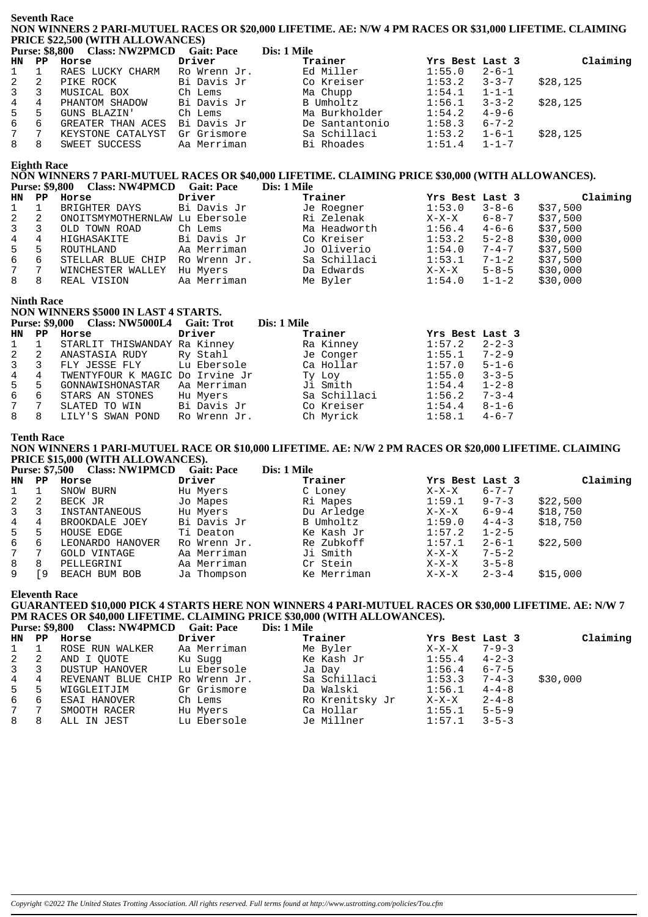**Seventh Race NON WINNERS 2 PARI-MUTUEL RACES OR \$20,000 LIFETIME. AE: N/W 4 PM RACES OR \$31,000 LIFETIME. CLAIMING PRICE \$22,500 (WITH ALLOWANCES)**

|                  |   | Purse: \$8,800 Class: NW2PMCD | <b>Gait: Pace</b> | Dis: 1 Mile    |                 |             |          |
|------------------|---|-------------------------------|-------------------|----------------|-----------------|-------------|----------|
|                  |   | HN PP Horse                   | Driver            | Trainer        | Yrs Best Last 3 |             | Claiming |
|                  |   | RAES LUCKY CHARM              | Ro Wrenn Jr.      | Ed Miller      | 1:55.0          | $2 - 6 - 1$ |          |
| $2 \quad 2$      |   | PIKE ROCK                     | Bi Davis Jr       | Co Kreiser     | 1:53.2          | $3 - 3 - 7$ | \$28,125 |
| $3 \overline{3}$ |   | MUSICAL BOX                   | Ch Lems           | Ma Chupp       | 1:54.1          | $1 - 1 - 1$ |          |
| $4 \quad 4$      |   | PHANTOM SHADOW                | Bi Davis Jr       | B Umholtz      | 1:56.1          | $3 - 3 - 2$ | \$28,125 |
| 5                | 5 | GUNS BLAZIN'                  | Ch Lems           | Ma Burkholder  | 1:54.2          | $4 - 9 - 6$ |          |
| 6 6              |   | GREATER THAN ACES             | Bi Davis Jr       | De Santantonio | 1:58.3          | $6 - 7 - 2$ |          |
| 7                |   | KEYSTONE CATALYST             | Gr Grismore       | Sa Schillaci   | 1:53.2          | $1 - 6 - 1$ | \$28,125 |
| 8                | 8 | SWEET SUCCESS                 | Aa Merriman       | Bi Rhoades     | 1:51.4          | $1 - 1 - 7$ |          |

#### **Eighth Race**

## NON WINNERS 7 PARI-MUTUEL RACES OR \$40,000 LIFETIME. CLAIMING PRICE \$30,000 (WITH ALLOWANCES).<br>Purse: \$9,800 Class: NW4PMCD Gait: Pace Dis: 1 Mile **Purse: \$9.800 Class: NW4PMCD Gait: Pace**

| HN             | PP             | Horse                          | Driver       | Trainer      | Yrs Best Last 3 |             | Claiming |
|----------------|----------------|--------------------------------|--------------|--------------|-----------------|-------------|----------|
| 1              |                | BRIGHTER DAYS                  | Bi Davis Jr  | Je Roegner   | 1:53.0          | $3 - 8 - 6$ | \$37,500 |
| 2              | $\overline{2}$ | ONOITSMYMOTHERNLAW Lu Ebersole |              | Ri Zelenak   | $X-X-X$         | $6 - 8 - 7$ | \$37,500 |
| $\overline{3}$ |                | OLD TOWN ROAD                  | Ch Lems      | Ma Headworth | 1:56.4          | $4 - 6 - 6$ | \$37,500 |
| 4              | 4              | HIGHASAKITE                    | Bi Davis Jr  | Co Kreiser   | 1:53.2          | $5 - 2 - 8$ | \$30,000 |
| 5              | 5              | ROUTHLAND                      | Aa Merriman  | Jo Oliverio  | 1:54.0          | $7 - 4 - 7$ | \$37,500 |
| 6              | -6             | STELLAR BLUE CHIP              | Ro Wrenn Jr. | Sa Schillaci | 1:53.1          | $7 - 1 - 2$ | \$37,500 |
| 7              | $\overline{7}$ | WINCHESTER WALLEY              | Hu Myers     | Da Edwards   | $X-X-X$         | $5 - 8 - 5$ | \$30,000 |
| 8              | 8              | REAL VISION                    | Aa Merriman  | Me Byler     | 1:54.0          | $1 - 1 - 2$ | \$30,000 |

## **Ninth Race**

## **NON WINNERS \$5000 IN LAST 4 STARTS.**

|     |     | Purse: \$9,000 Class: NW5000L4 Gait: Trot |              | Dis: 1 Mile  |                       |
|-----|-----|-------------------------------------------|--------------|--------------|-----------------------|
| HN. | PP. | Horse                                     | Driver       | Trainer      | Yrs Best Last 3       |
|     |     | STARLIT THISWANDAY Ra Kinney              |              | Ra Kinney    | $2 - 2 - 3$<br>1:57.2 |
| 2   | -2  | ANASTASIA RUDY                            | Ry Stahl     | Je Conger    | 1:55.1<br>$7 - 2 - 9$ |
| 3   | -3  | FLY JESSE FLY Lu Ebersole                 |              | Ca Hollar    | $5 - 1 - 6$<br>1:57.0 |
| 4   | 4   | TWENTYFOUR K MAGIC Do Irvine Jr           |              | Ty Loy       | $3 - 3 - 5$<br>1:55.0 |
| 5   | 5   | GONNAWISHONASTAR                          | Aa Merriman  | Ji Smith     | $1 - 2 - 8$<br>1:54.4 |
| 6   | 6   | STARS AN STONES                           | Hu Myers     | Sa Schillaci | 1:56.2<br>$7 - 3 - 4$ |
|     | - 7 | SLATED TO WIN                             | Bi Davis Jr  | Co Kreiser   | 1:54.4<br>$8 - 1 - 6$ |
| 8   | 8   | LILY'S SWAN POND                          | Ro Wrenn Jr. | Ch Myrick    | 1:58.1<br>$4 - 6 - 7$ |

#### **Tenth Race**

**NON WINNERS 1 PARI-MUTUEL RACE OR \$10,000 LIFETIME. AE: N/W 2 PM RACES OR \$20,000 LIFETIME. CLAIMING PRICE \$15,000 (WITH ALLOWANCES).**

| <b>Purse: \$7,500</b> |    | <b>Class: NW1PMCD</b> | <b>Gait: Pace</b> | Dis: 1 Mile |                 |             |          |
|-----------------------|----|-----------------------|-------------------|-------------|-----------------|-------------|----------|
| $HN$ $PP$             |    | Horse                 | Driver            | Trainer     | Yrs Best Last 3 |             | Claiming |
|                       |    | SNOW BURN             | Hu Myers          | C Loney     | $X-X-X$         | $6 - 7 - 7$ |          |
| $\mathbf{2}$          | 2  | BECK JR               | Jo Mapes          | Ri Mapes    | 1:59.1          | $9 - 7 - 3$ | \$22,500 |
| 3 <sup>7</sup>        | 3  | INSTANTANEOUS         | Hu Myers          | Du Arledge  | $X-X-X$         | $6 - 9 - 4$ | \$18,750 |
| $4\overline{ }$       | 4  | BROOKDALE JOEY        | Bi Davis Jr       | B Umholtz   | 1:59.0          | $4 - 4 - 3$ | \$18,750 |
| 5 <sub>1</sub>        | .5 | HOUSE EDGE            | Ti Deaton         | Ke Kash Jr  | 1:57.2          | $1 - 2 - 5$ |          |
| 6                     | 6  | LEONARDO HANOVER      | Ro Wrenn Jr.      | Re Zubkoff  | 1:57.1          | $2 - 6 - 1$ | \$22,500 |
| $7\overline{ }$       |    | <b>GOLD VINTAGE</b>   | Aa Merriman       | Ji Smith    | X-X-X           | $7 - 5 - 2$ |          |
| 8                     | 8  | PELLEGRINI            | Aa Merriman       | Cr Stein    | X-X-X           | $3 - 5 - 8$ |          |
| 9                     | -9 | BEACH BUM BOB         | Ja Thompson       | Ke Merriman | X-X-X           | $2 - 3 - 4$ | \$15,000 |

**Eleventh Race**

**GUARANTEED \$10,000 PICK 4 STARTS HERE NON WINNERS 4 PARI-MUTUEL RACES OR \$30,000 LIFETIME. AE: N/W 7 PM RACES OR \$40,000 LIFETIME. CLAIMING PRICE \$30,000 (WITH ALLOWANCES).**<br>Purse: \$9,800 Class: NW4PMCD Gait: Pace Dis: 1 Mile **Purse: \$9,800 Class: NW4PMCD Gait: Pace** 

|     | HN PP Horse                         | Driver                  | Trainer                                                                                                        | Yrs Best Last 3  |                           | Claiming |
|-----|-------------------------------------|-------------------------|----------------------------------------------------------------------------------------------------------------|------------------|---------------------------|----------|
| 1 1 | ROSE RUN WALKER - Aa Merriman       |                         | Me Byler                                                                                                       | X-X-X 7-9-3      |                           |          |
|     |                                     | 2 2 AND I QUOTE Ku Suqq | Ke Kash Jr                                                                                                     | $1:55.4$ $4-2-3$ |                           |          |
|     | 3 3 DUSTUP HANOVER Lu Ebersole      |                         | Ja Day the control of the control of the control of the control of the control of the control of the control o | $1:56.4$ $6-7-5$ |                           |          |
|     | 4 4 REVENANT BLUE CHIP Ro Wrenn Jr. |                         | Sa Schillaci                                                                                                   |                  | $1:53.3$ $7-4-3$ \$30,000 |          |
|     | 5 5 WIGGLEITJIM                     | Gr Grismore             | Da Walski                                                                                                      | $1:56.1$ $4-4-8$ |                           |          |
|     | 6 6 ESAI HANOVER Ch Lems            |                         | Ro Krenitsky Jr                                                                                                | $X-X-X$ 2-4-8    |                           |          |
| 7 7 | SMOOTH RACER                        | Hu Myers                | Ca Hollar                                                                                                      | $1:55.1$ $5-5-9$ |                           |          |
|     | 8 8 ALL IN JEST                     | Lu Ebersole             | Je Millner                                                                                                     | $1:57.1$ $3-5-3$ |                           |          |
|     |                                     |                         |                                                                                                                |                  |                           |          |